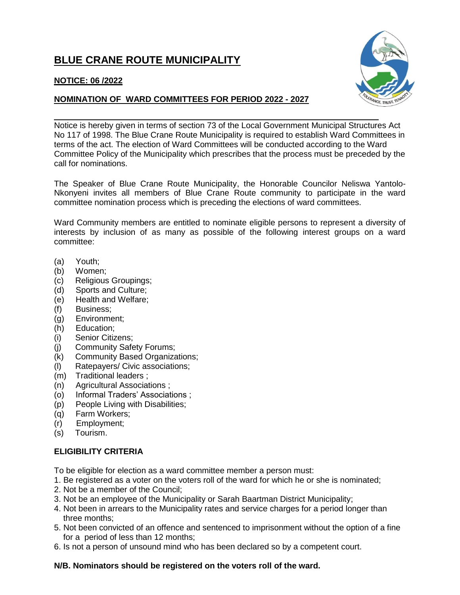# **BLUE CRANE ROUTE MUNICIPALITY**



## **NOMINATION OF WARD COMMITTEES FOR PERIOD 2022 - 2027**



Notice is hereby given in terms of section 73 of the Local Government Municipal Structures Act No 117 of 1998. The Blue Crane Route Municipality is required to establish Ward Committees in terms of the act. The election of Ward Committees will be conducted according to the Ward Committee Policy of the Municipality which prescribes that the process must be preceded by the call for nominations.

The Speaker of Blue Crane Route Municipality, the Honorable Councilor Neliswa Yantolo-Nkonyeni invites all members of Blue Crane Route community to participate in the ward committee nomination process which is preceding the elections of ward committees.

Ward Community members are entitled to nominate eligible persons to represent a diversity of interests by inclusion of as many as possible of the following interest groups on a ward committee:

- (a) Youth;
- (b) Women;
- (c) Religious Groupings;
- (d) Sports and Culture;
- (e) Health and Welfare;
- (f) Business;
- (g) Environment;
- (h) Education;
- (i) Senior Citizens;
- (j) Community Safety Forums;
- (k) Community Based Organizations;
- (l) Ratepayers/ Civic associations;
- (m) Traditional leaders ;
- (n) Agricultural Associations ;
- (o) Informal Traders' Associations ;
- (p) People Living with Disabilities;
- (q) Farm Workers;
- (r) Employment;
- (s) Tourism.

### **ELIGIBILITY CRITERIA**

To be eligible for election as a ward committee member a person must:

- 1. Be registered as a voter on the voters roll of the ward for which he or she is nominated;
- 2. Not be a member of the Council;
- 3. Not be an employee of the Municipality or Sarah Baartman District Municipality;
- 4. Not been in arrears to the Municipality rates and service charges for a period longer than three months;
- 5. Not been convicted of an offence and sentenced to imprisonment without the option of a fine for a period of less than 12 months;
- 6. Is not a person of unsound mind who has been declared so by a competent court.

## **N/B. Nominators should be registered on the voters roll of the ward.**